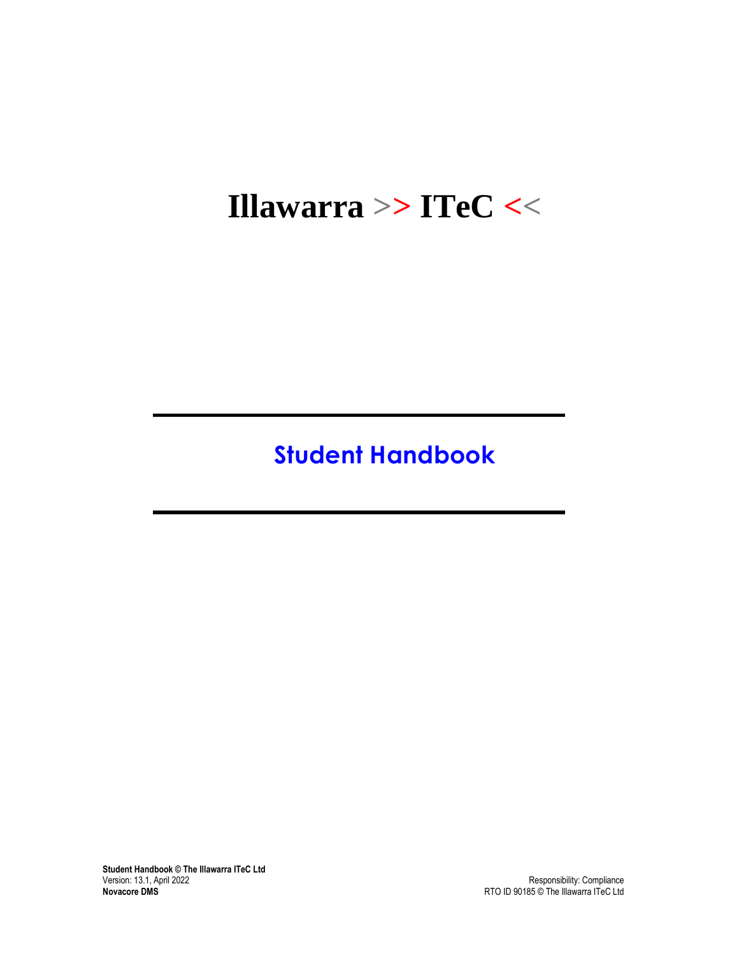# **Illawarra >> ITeC <<**

# **Student Handbook**

**Student Handbook © The Illawarra ITeC Ltd** Version: 13.1, April 2022 Version: 13.1, April 2022 Responsibility: Compliance **Novacore DMS** RTO ID 90185 © The Illawarra ITeC Ltd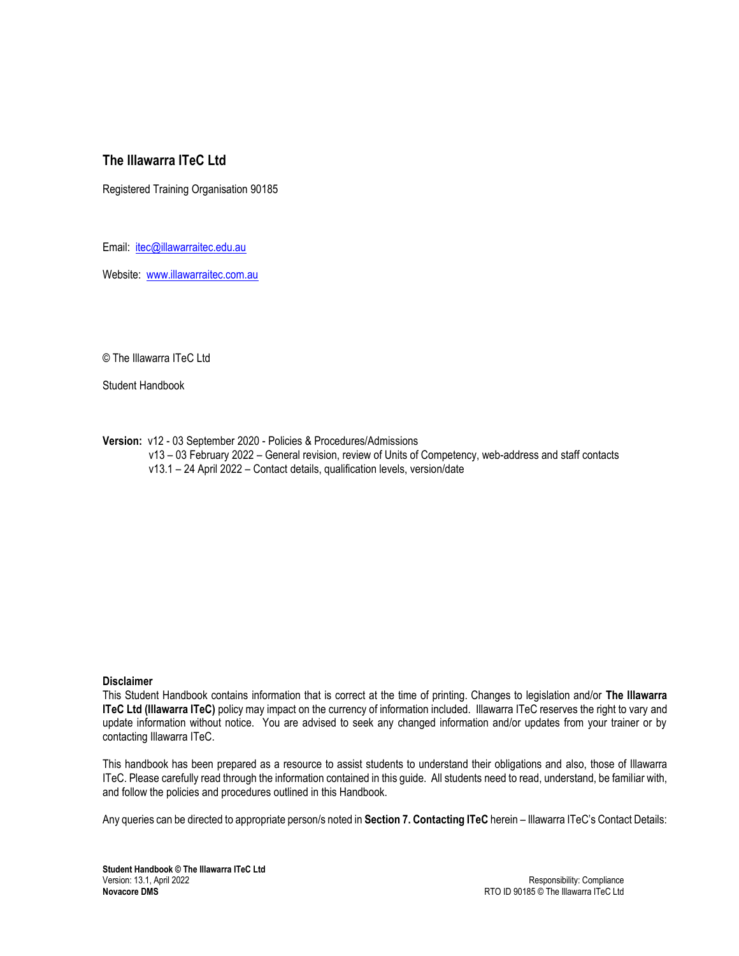# **The Illawarra ITeC Ltd**

Registered Training Organisation 90185

Email: [itec@illawarraitec.edu.au](mailto:itec@illawarraitec.edu.au)

Website: [www.illawarraitec.com.au](http://www.illawarraitec.com.au/)

© The Illawarra ITeC Ltd

Student Handbook

**Version:** v12 - 03 September 2020 - Policies & Procedures/Admissions v13 – 03 February 2022 – General revision, review of Units of Competency, web-address and staff contacts v13.1 – 24 April 2022 – Contact details, qualification levels, version/date

#### **Disclaimer**

This Student Handbook contains information that is correct at the time of printing. Changes to legislation and/or **The Illawarra ITeC Ltd (Illawarra ITeC)** policy may impact on the currency of information included. Illawarra ITeC reserves the right to vary and update information without notice. You are advised to seek any changed information and/or updates from your trainer or by contacting Illawarra ITeC.

This handbook has been prepared as a resource to assist students to understand their obligations and also, those of Illawarra ITeC. Please carefully read through the information contained in this guide. All students need to read, understand, be familiar with, and follow the policies and procedures outlined in this Handbook.

Any queries can be directed to appropriate person/s noted in **Section 7. Contacting ITeC** herein – Illawarra ITeC's Contact Details: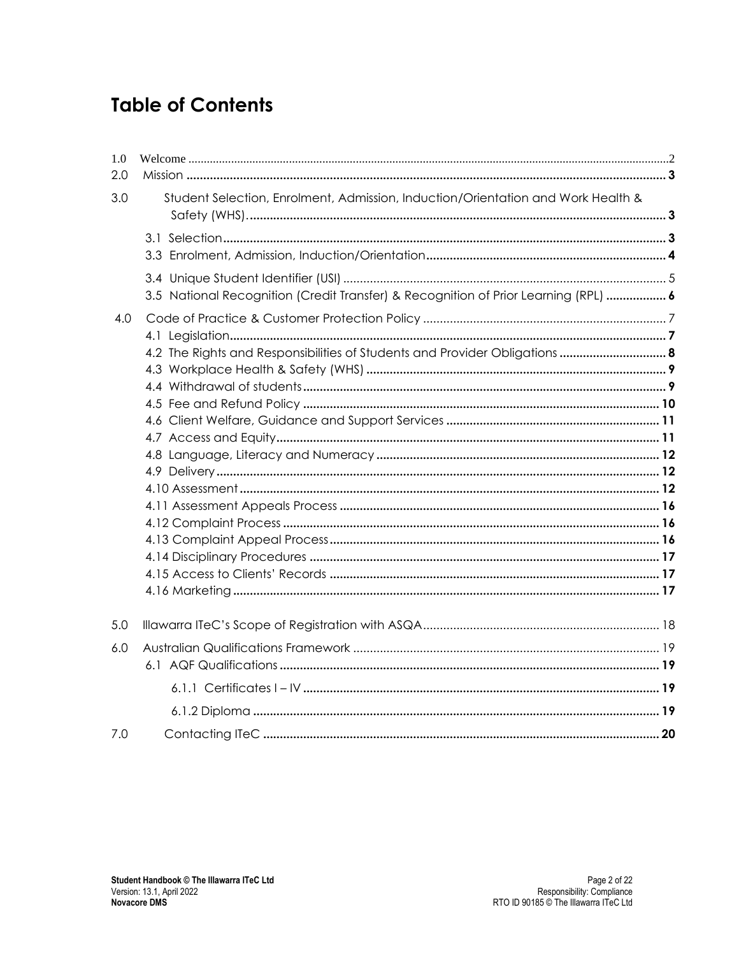# **Table of Contents**

| 1.0 |                                                                                     |  |
|-----|-------------------------------------------------------------------------------------|--|
| 2.0 |                                                                                     |  |
| 3.0 | Student Selection, Enrolment, Admission, Induction/Orientation and Work Health &    |  |
|     |                                                                                     |  |
|     |                                                                                     |  |
|     |                                                                                     |  |
|     | 3.5 National Recognition (Credit Transfer) & Recognition of Prior Learning (RPL)  6 |  |
| 4.0 |                                                                                     |  |
|     |                                                                                     |  |
|     |                                                                                     |  |
|     |                                                                                     |  |
|     |                                                                                     |  |
|     |                                                                                     |  |
|     |                                                                                     |  |
|     |                                                                                     |  |
|     |                                                                                     |  |
|     |                                                                                     |  |
|     |                                                                                     |  |
|     |                                                                                     |  |
|     |                                                                                     |  |
|     |                                                                                     |  |
|     |                                                                                     |  |
|     |                                                                                     |  |
| 5.0 |                                                                                     |  |
| 6.0 |                                                                                     |  |
|     |                                                                                     |  |
|     |                                                                                     |  |
|     |                                                                                     |  |
| 7.0 |                                                                                     |  |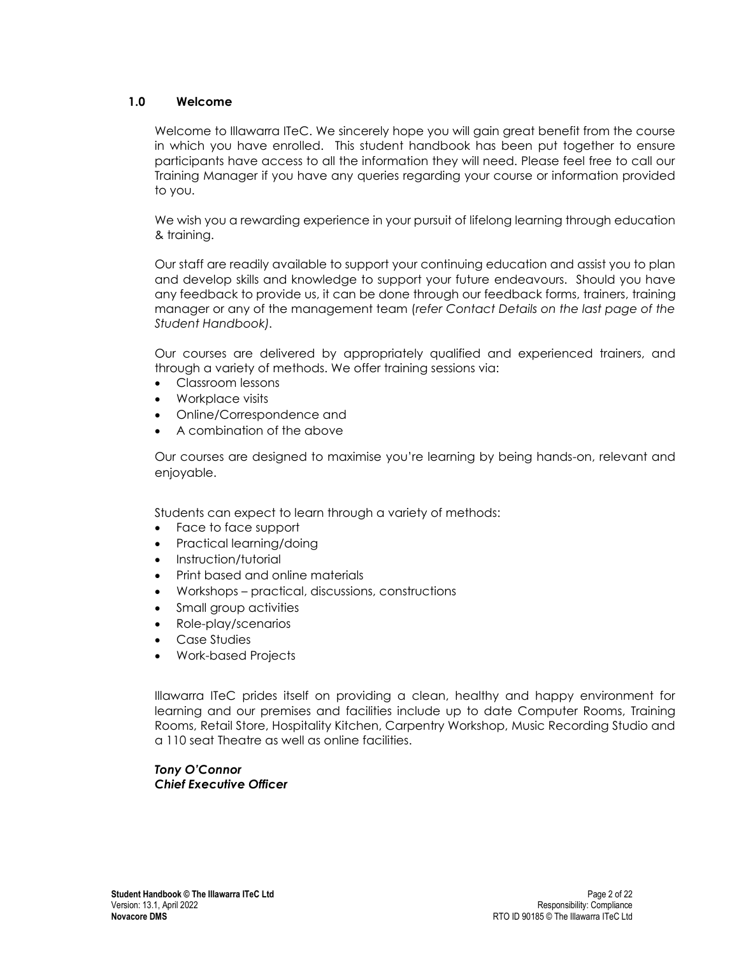## <span id="page-3-0"></span>**1.0 Welcome**

Welcome to Illawarra ITeC. We sincerely hope you will gain great benefit from the course in which you have enrolled. This student handbook has been put together to ensure participants have access to all the information they will need. Please feel free to call our Training Manager if you have any queries regarding your course or information provided to you.

We wish you a rewarding experience in your pursuit of lifelong learning through education & training.

Our staff are readily available to support your continuing education and assist you to plan and develop skills and knowledge to support your future endeavours. Should you have any feedback to provide us, it can be done through our feedback forms, trainers, training manager or any of the management team (*refer Contact Details on the last page of the Student Handbook).*

Our courses are delivered by appropriately qualified and experienced trainers, and through a variety of methods. We offer training sessions via:

- Classroom lessons
- Workplace visits
- Online/Correspondence and
- A combination of the above

Our courses are designed to maximise you're learning by being hands-on, relevant and enjoyable.

Students can expect to learn through a variety of methods:

- Face to face support
- Practical learning/doing
- Instruction/tutorial
- Print based and online materials
- Workshops practical, discussions, constructions
- Small group activities
- Role-play/scenarios
- Case Studies
- Work-based Projects

Illawarra ITeC prides itself on providing a clean, healthy and happy environment for learning and our premises and facilities include up to date Computer Rooms, Training Rooms, Retail Store, Hospitality Kitchen, Carpentry Workshop, Music Recording Studio and a 110 seat Theatre as well as online facilities.

*Tony O'Connor Chief Executive Officer*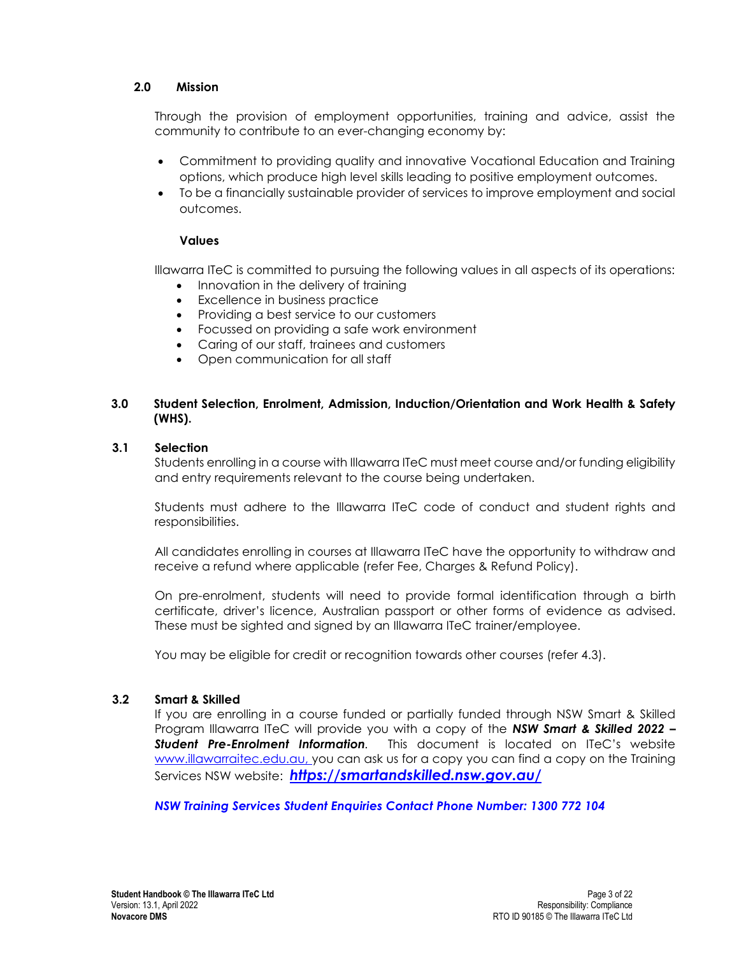## <span id="page-4-0"></span>**2.0 Mission**

Through the provision of employment opportunities, training and advice, assist the community to contribute to an ever-changing economy by:

- Commitment to providing quality and innovative Vocational Education and Training options, which produce high level skills leading to positive employment outcomes.
- To be a financially sustainable provider of services to improve employment and social outcomes.

### **Values**

Illawarra ITeC is committed to pursuing the following values in all aspects of its operations:

- Innovation in the delivery of training
- **Excellence in business practice**
- Providing a best service to our customers
- Focussed on providing a safe work environment
- Caring of our staff, trainees and customers
- Open communication for all staff

## <span id="page-4-1"></span>**3.0 Student Selection, Enrolment, Admission, Induction/Orientation and Work Health & Safety (WHS).**

### <span id="page-4-2"></span>**3.1 Selection**

Students enrolling in a course with Illawarra ITeC must meet course and/or funding eligibility and entry requirements relevant to the course being undertaken.

Students must adhere to the Illawarra ITeC code of conduct and student rights and responsibilities.

All candidates enrolling in courses at Illawarra ITeC have the opportunity to withdraw and receive a refund where applicable (refer Fee, Charges & Refund Policy).

On pre-enrolment, students will need to provide formal identification through a birth certificate, driver's licence, Australian passport or other forms of evidence as advised. These must be sighted and signed by an Illawarra ITeC trainer/employee.

You may be eligible for credit or recognition towards other courses (refer 4.3).

### **3.2 Smart & Skilled**

If you are enrolling in a course funded or partially funded through NSW Smart & Skilled Program Illawarra ITeC will provide you with a copy of the *NSW Smart & Skilled 2022 – Student Pre-Enrolment Information.* This document is located on ITeC's website [www.illawarraitec.edu.au,](http://www.illawarraitec.edu.au/) you can ask us for a copy you can find a copy on the Training Services NSW website: *<https://smartandskilled.nsw.gov.au/>*

*NSW Training Services Student Enquiries Contact Phone Number: 1300 772 104*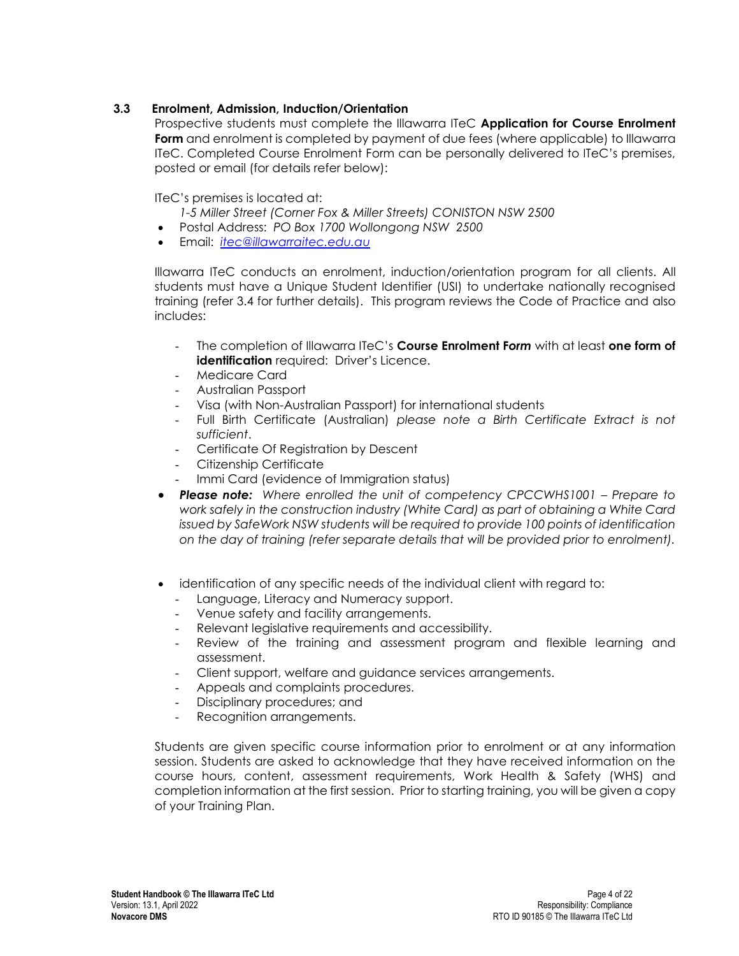# **3.3 Enrolment, Admission, Induction/Orientation**

<span id="page-5-0"></span>Prospective students must complete the Illawarra ITeC **Application for Course Enrolment** Form and enrolment is completed by payment of due fees (where applicable) to Illawarra ITeC. Completed Course Enrolment Form can be personally delivered to ITeC's premises, posted or email (for details refer below):

ITeC's premises is located at:

- *1-5 Miller Street (Corner Fox & Miller Streets) CONISTON NSW 2500*
- Postal Address: *PO Box 1700 Wollongong NSW 2500*
- Email: *[itec@illawarraitec.edu.au](mailto:itec@illawarraitec.edu.au)*

Illawarra ITeC conducts an enrolment, induction/orientation program for all clients. All students must have a Unique Student Identifier (USI) to undertake nationally recognised training (refer 3.4 for further details). This program reviews the Code of Practice and also includes:

- The completion of Illawarra ITeC's **Course Enrolment F***orm* with at least **one form of identification** required: Driver's Licence.
- Medicare Card
- Australian Passport
- Visa (with Non-Australian Passport) for international students
- Full Birth Certificate (Australian) *please note a Birth Certificate Extract is not sufficient*.
- Certificate Of Registration by Descent
- Citizenship Certificate
- Immi Card (evidence of Immigration status)
- **Please note:** Where enrolled the unit of competency CPCCWHS1001 Prepare to *work safely in the construction industry (White Card) as part of obtaining a White Card issued by SafeWork NSW students will be required to provide 100 points of identification on the day of training (refer separate details that will be provided prior to enrolment).*
- identification of any specific needs of the individual client with regard to:
	- Language, Literacy and Numeracy support.
	- Venue safety and facility arrangements.
	- Relevant legislative requirements and accessibility.
	- Review of the training and assessment program and flexible learning and assessment.
	- Client support, welfare and guidance services arrangements.
	- Appeals and complaints procedures.
	- Disciplinary procedures; and
	- Recognition arrangements.

Students are given specific course information prior to enrolment or at any information session. Students are asked to acknowledge that they have received information on the course hours, content, assessment requirements, Work Health & Safety (WHS) and completion information at the first session. Prior to starting training, you will be given a copy of your Training Plan.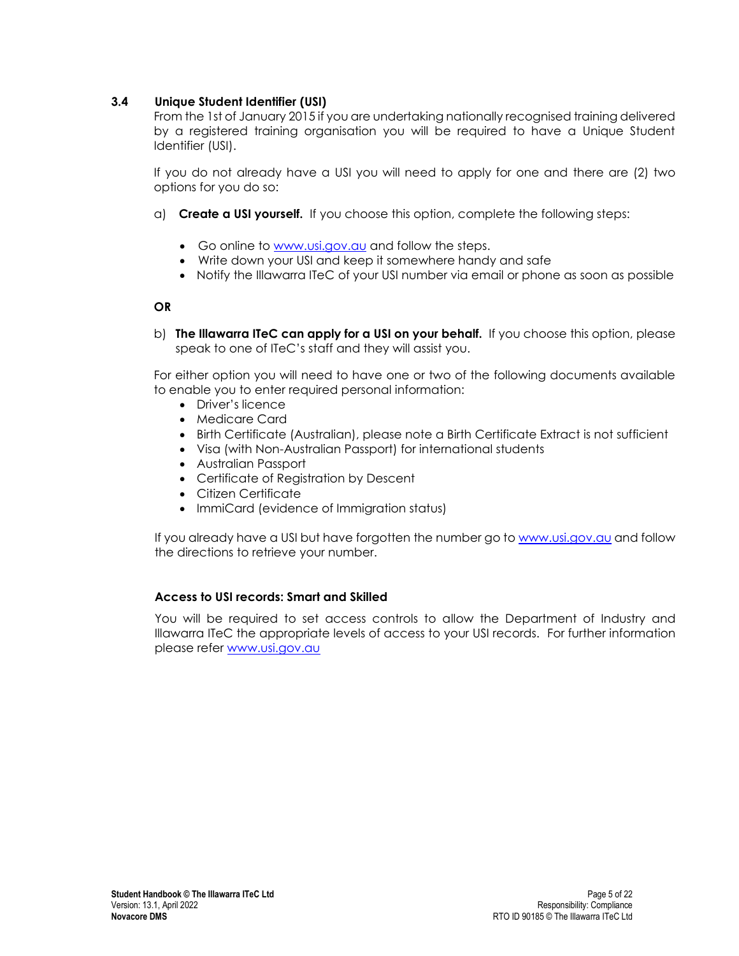# <span id="page-6-0"></span>**3.4 Unique Student Identifier (USI)**

From the 1st of January 2015 if you are undertaking nationally recognised training delivered by a registered training organisation you will be required to have a Unique Student Identifier (USI).

If you do not already have a USI you will need to apply for one and there are (2) two options for you do so:

- a) **Create a USI yourself.** If you choose this option, complete the following steps:
	- Go online to [www.usi.gov.au](http://www.usi.gov.au/) and follow the steps.
	- Write down your USI and keep it somewhere handy and safe
	- Notify the Illawarra ITeC of your USI number via email or phone as soon as possible

## **OR**

b) **The Illawarra ITeC can apply for a USI on your behalf.** If you choose this option, please speak to one of ITeC's staff and they will assist you.

For either option you will need to have one or two of the following documents available to enable you to enter required personal information:

- Driver's licence
- Medicare Card
- Birth Certificate (Australian), please note a Birth Certificate Extract is not sufficient
- Visa (with Non-Australian Passport) for international students
- Australian Passport
- Certificate of Registration by Descent
- Citizen Certificate
- ImmiCard (evidence of Immigration status)

If you already have a USI but have forgotten the number go to [www.usi.gov.au](http://www.usi.gov.au/) and follow the directions to retrieve your number.

### **Access to USI records: Smart and Skilled**

You will be required to set access controls to allow the Department of Industry and Illawarra ITeC the appropriate levels of access to your USI records. For further information please refer [www.usi.gov.au](http://www.usi.gov.au/)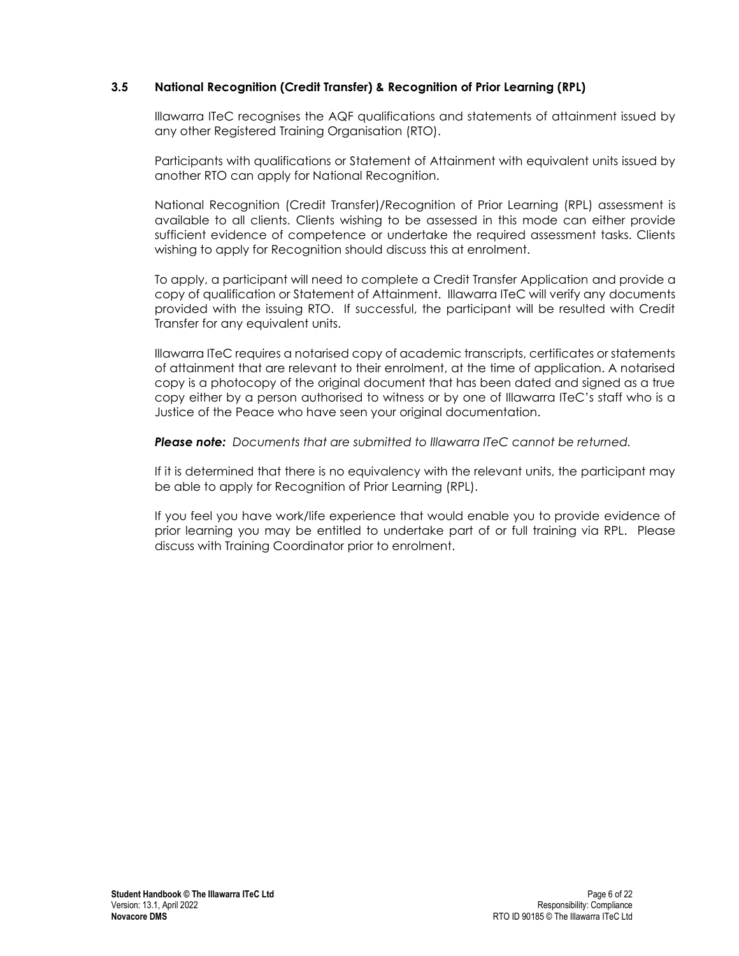## <span id="page-7-0"></span>**3.5 National Recognition (Credit Transfer) & Recognition of Prior Learning (RPL)**

Illawarra ITeC recognises the AQF qualifications and statements of attainment issued by any other Registered Training Organisation (RTO).

Participants with qualifications or Statement of Attainment with equivalent units issued by another RTO can apply for National Recognition.

National Recognition (Credit Transfer)/Recognition of Prior Learning (RPL) assessment is available to all clients. Clients wishing to be assessed in this mode can either provide sufficient evidence of competence or undertake the required assessment tasks. Clients wishing to apply for Recognition should discuss this at enrolment.

To apply, a participant will need to complete a Credit Transfer Application and provide a copy of qualification or Statement of Attainment. Illawarra ITeC will verify any documents provided with the issuing RTO. If successful, the participant will be resulted with Credit Transfer for any equivalent units.

Illawarra ITeC requires a notarised copy of academic transcripts, certificates or statements of attainment that are relevant to their enrolment, at the time of application. A notarised copy is a photocopy of the original document that has been dated and signed as a true copy either by a person authorised to witness or by one of Illawarra ITeC's staff who is a Justice of the Peace who have seen your original documentation.

*Please note: Documents that are submitted to Illawarra ITeC cannot be returned.*

If it is determined that there is no equivalency with the relevant units, the participant may be able to apply for Recognition of Prior Learning (RPL).

If you feel you have work/life experience that would enable you to provide evidence of prior learning you may be entitled to undertake part of or full training via RPL. Please discuss with Training Coordinator prior to enrolment.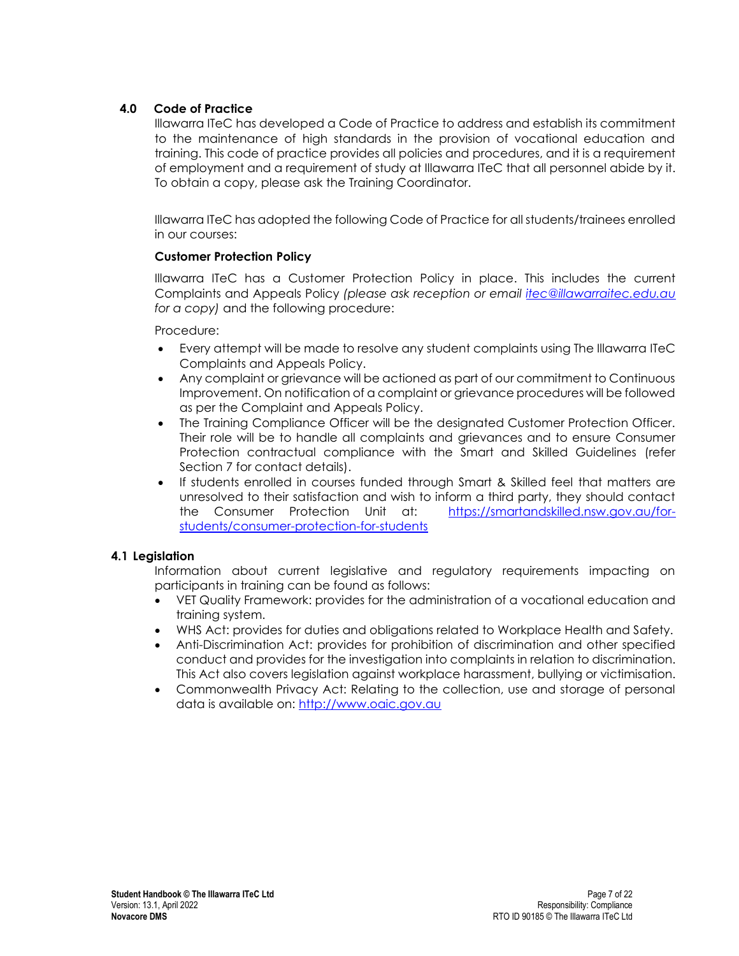# <span id="page-8-0"></span>**4.0 Code of Practice**

Illawarra ITeC has developed a Code of Practice to address and establish its commitment to the maintenance of high standards in the provision of vocational education and training. This code of practice provides all policies and procedures, and it is a requirement of employment and a requirement of study at Illawarra ITeC that all personnel abide by it. To obtain a copy, please ask the Training Coordinator.

Illawarra ITeC has adopted the following Code of Practice for all students/trainees enrolled in our courses:

## **Customer Protection Policy**

Illawarra ITeC has a Customer Protection Policy in place. This includes the current Complaints and Appeals Policy *(please ask reception or email [itec@illawarraitec.edu.au](mailto:itec@illawarraitec.edu.au) for a copy)* and the following procedure:

Procedure:

- Every attempt will be made to resolve any student complaints using The Illawarra ITeC Complaints and Appeals Policy.
- Any complaint or grievance will be actioned as part of our commitment to Continuous Improvement. On notification of a complaint or grievance procedures will be followed as per the Complaint and Appeals Policy.
- The Training Compliance Officer will be the designated Customer Protection Officer. Their role will be to handle all complaints and grievances and to ensure Consumer Protection contractual compliance with the Smart and Skilled Guidelines (refer Section 7 for contact details).
- If students enrolled in courses funded through Smart & Skilled feel that matters are unresolved to their satisfaction and wish to inform a third party, they should contact the Consumer Protection Unit at: [https://smartandskilled.nsw.gov.au/for](https://smartandskilled.nsw.gov.au/for-students/consumer-protection-for-students)[students/consumer-protection-for-students](https://smartandskilled.nsw.gov.au/for-students/consumer-protection-for-students)

# <span id="page-8-1"></span>**4.1 Legislation**

Information about current legislative and regulatory requirements impacting on participants in training can be found as follows:

- VET Quality Framework: provides for the administration of a vocational education and training system.
- WHS Act: provides for duties and obligations related to Workplace Health and Safety.
- Anti-Discrimination Act: provides for prohibition of discrimination and other specified conduct and provides for the investigation into complaints in relation to discrimination. This Act also covers legislation against workplace harassment, bullying or victimisation.
- Commonwealth Privacy Act: Relating to the collection, use and storage of personal data is available on: [http://www.oaic.gov.au](http://www.oaic.gov.au/)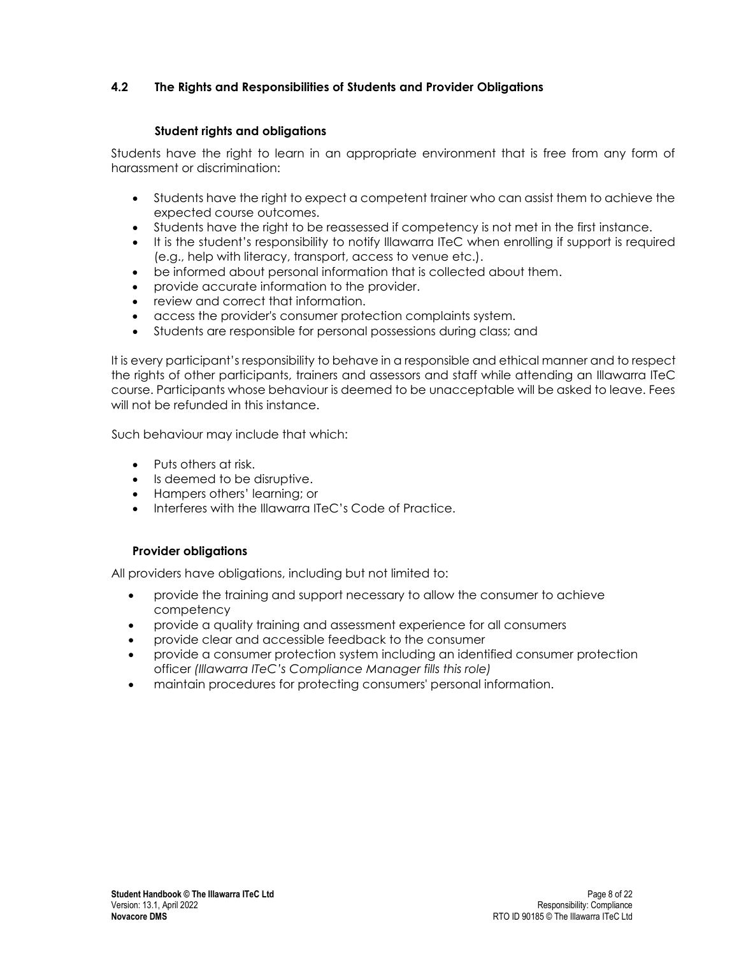# <span id="page-9-0"></span>**4.2 The Rights and Responsibilities of Students and Provider Obligations**

## **Student rights and obligations**

Students have the right to learn in an appropriate environment that is free from any form of harassment or discrimination:

- Students have the right to expect a competent trainer who can assist them to achieve the expected course outcomes.
- Students have the right to be reassessed if competency is not met in the first instance.
- It is the student's responsibility to notify Illawarra ITeC when enrolling if support is required (e.g., help with literacy, transport, access to venue etc.).
- be informed about personal information that is collected about them.
- provide accurate information to the provider.
- review and correct that information.
- access the provider's consumer protection complaints system.
- Students are responsible for personal possessions during class; and

It is every participant's responsibility to behave in a responsible and ethical manner and to respect the rights of other participants, trainers and assessors and staff while attending an Illawarra ITeC course. Participants whose behaviour is deemed to be unacceptable will be asked to leave. Fees will not be refunded in this instance.

Such behaviour may include that which:

- Puts others at risk.
- Is deemed to be disruptive.
- Hampers others' learning; or
- Interferes with the Illawarra ITeC's Code of Practice.

### **Provider obligations**

All providers have obligations, including but not limited to:

- provide the training and support necessary to allow the consumer to achieve competency
- provide a quality training and assessment experience for all consumers
- provide clear and accessible feedback to the consumer
- provide a consumer protection system including an identified consumer protection officer *(Illawarra ITeC's Compliance Manager fills this role)*
- maintain procedures for protecting consumers' personal information.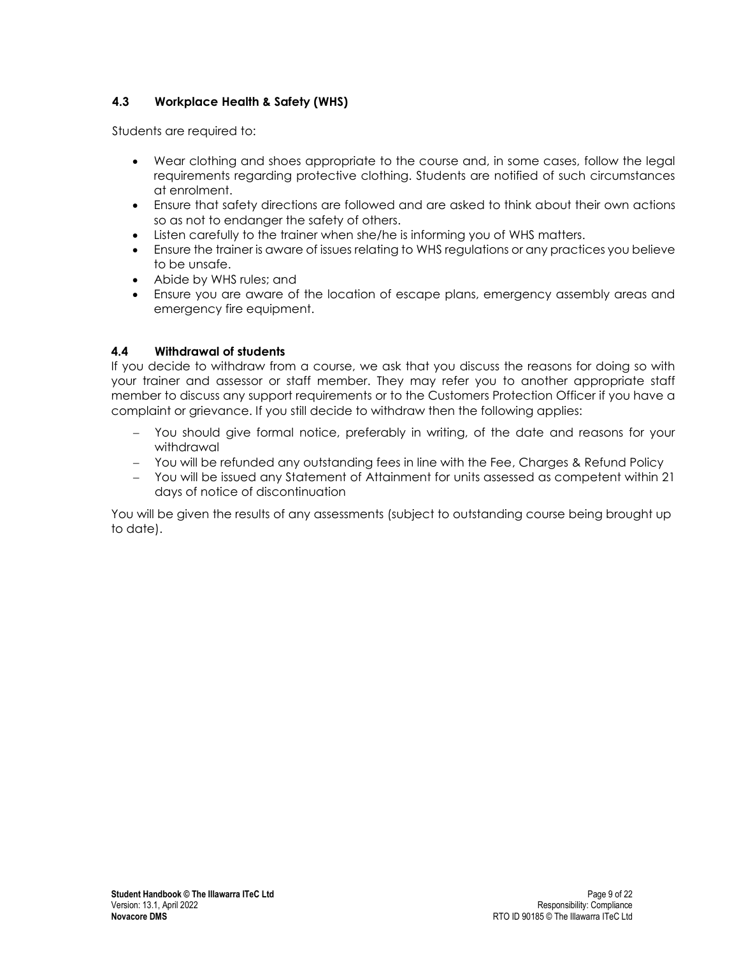# <span id="page-10-0"></span>**4.3 Workplace Health & Safety (WHS)**

Students are required to:

- Wear clothing and shoes appropriate to the course and, in some cases, follow the legal requirements regarding protective clothing. Students are notified of such circumstances at enrolment.
- Ensure that safety directions are followed and are asked to think about their own actions so as not to endanger the safety of others.
- Listen carefully to the trainer when she/he is informing you of WHS matters.
- Ensure the trainer is aware of issues relating to WHS regulations or any practices you believe to be unsafe.
- Abide by WHS rules; and
- Ensure you are aware of the location of escape plans, emergency assembly areas and emergency fire equipment.

# <span id="page-10-1"></span>**4.4 Withdrawal of students**

If you decide to withdraw from a course, we ask that you discuss the reasons for doing so with your trainer and assessor or staff member. They may refer you to another appropriate staff member to discuss any support requirements or to the Customers Protection Officer if you have a complaint or grievance. If you still decide to withdraw then the following applies:

- − You should give formal notice, preferably in writing, of the date and reasons for your withdrawal
- − You will be refunded any outstanding fees in line with the Fee, Charges & Refund Policy
- − You will be issued any Statement of Attainment for units assessed as competent within 21 days of notice of discontinuation

You will be given the results of any assessments (subject to outstanding course being brought up to date).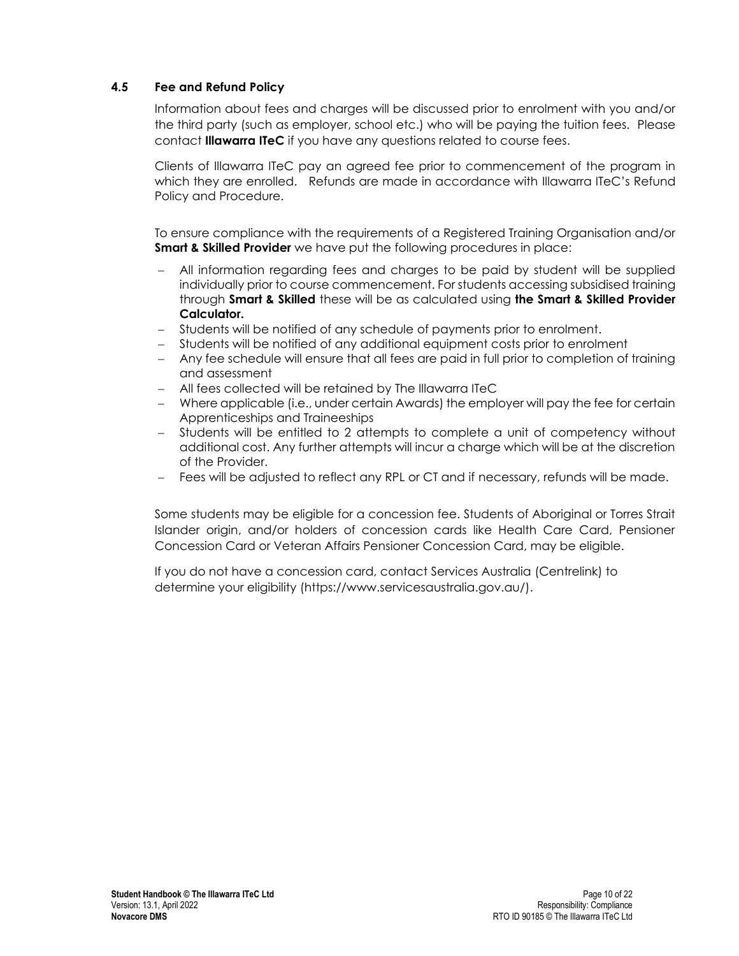# <span id="page-11-0"></span>**4.5 Fee and Refund Policy**

Information about fees and charges will be discussed prior to enrolment with you and/or the third party (such as employer, school etc.) who will be paying the tuition fees. Please contact **Illawarra ITeC** if you have any questions related to course fees.

Clients of Illawarra ITeC pay an agreed fee prior to commencement of the program in which they are enrolled. Refunds are made in accordance with Illawarra ITeC's Refund Policy and Procedure.

To ensure compliance with the requirements of a Registered Training Organisation and/or **Smart & Skilled Provider** we have put the following procedures in place:

- − All information regarding fees and charges to be paid by student will be supplied individually prior to course commencement. For students accessing subsidised training through **Smart & Skilled** these will be as calculated using **the Smart & Skilled Provider Calculator.**
- − Students will be notified of any schedule of payments prior to enrolment.
- Students will be notified of any additional equipment costs prior to enrolment
- − Any fee schedule will ensure that all fees are paid in full prior to completion of training and assessment
- − All fees collected will be retained by The Illawarra ITeC
- − Where applicable (i.e., under certain Awards) the employer will pay the fee for certain Apprenticeships and Traineeships
- − Students will be entitled to 2 attempts to complete a unit of competency without additional cost. Any further attempts will incur a charge which will be at the discretion of the Provider.
- − Fees will be adjusted to reflect any RPL or CT and if necessary, refunds will be made.

Some students may be eligible for a concession fee. Students of Aboriginal or Torres Strait Islander origin, and/or holders of concession cards like Health Care Card, Pensioner Concession Card or Veteran Affairs Pensioner Concession Card, may be eligible.

If you do not have a concession card, contact Services Australia (Centrelink) to determine your eligibility (https://www.servicesaustralia.gov.au/).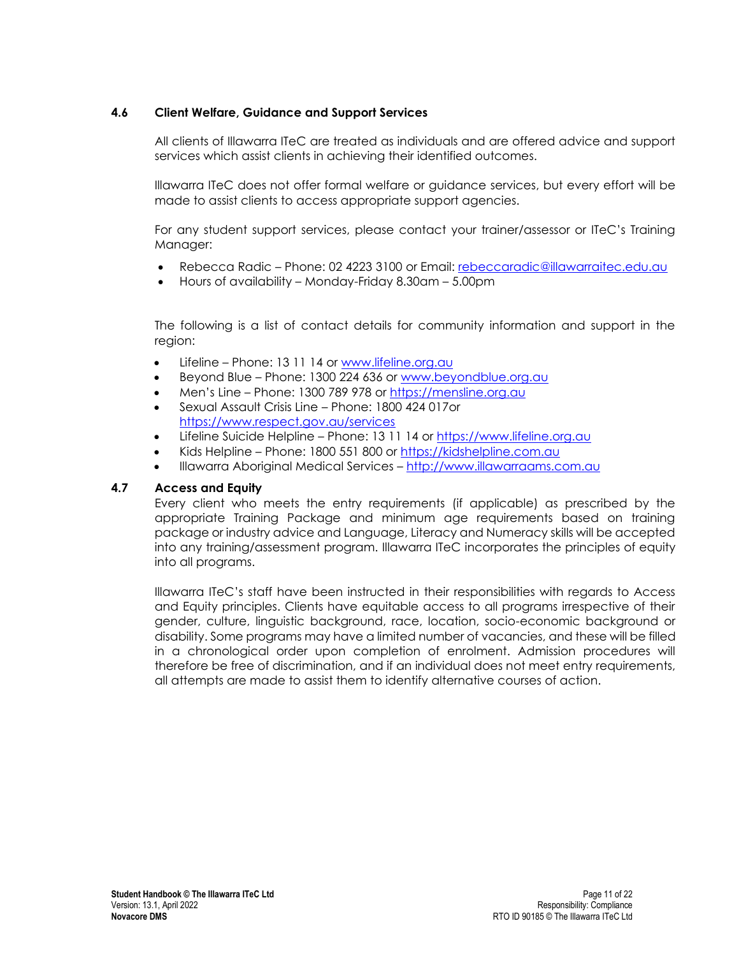# <span id="page-12-0"></span>**4.6 Client Welfare, Guidance and Support Services**

All clients of Illawarra ITeC are treated as individuals and are offered advice and support services which assist clients in achieving their identified outcomes.

Illawarra ITeC does not offer formal welfare or guidance services, but every effort will be made to assist clients to access appropriate support agencies.

For any student support services, please contact your trainer/assessor or ITeC's Training Manager:

- Rebecca Radic Phone: 02 4223 3100 or Email: [rebeccaradic@illawarraitec.edu.au](mailto:rebeccaradic@illawarraitec.edu.au)
- Hours of availability Monday-Friday 8.30am 5.00pm

The following is a list of contact details for community information and support in the region:

- Lifeline Phone: 13 11 14 or [www.lifeline.org.au](http://www.lifeline.org.au/)
- Beyond Blue Phone: 1300 224 636 or [www.beyondblue.org.au](http://www.beyondblue.org.au/)
- Men's Line Phone: 1300 789 978 or [https://mensline.org.au](https://mensline.org.au/)
- Sexual Assault Crisis Line Phone: 1800 424 017or <https://www.respect.gov.au/services>
- Lifeline Suicide Helpline Phone: 13 11 14 or [https://www.lifeline.org.au](https://www.lifeline.org.au/)
- Kids Helpline Phone: 1800 551 800 or [https://kidshelpline.com.au](https://kidshelpline.com.au/)
- Illawarra Aboriginal Medical Services [http://www.illawarraams.com.au](http://www.illawarraams.com.au/)

### <span id="page-12-1"></span>**4.7 Access and Equity**

Every client who meets the entry requirements (if applicable) as prescribed by the appropriate Training Package and minimum age requirements based on training package or industry advice and Language, Literacy and Numeracy skills will be accepted into any training/assessment program. Illawarra ITeC incorporates the principles of equity into all programs.

Illawarra ITeC's staff have been instructed in their responsibilities with regards to Access and Equity principles. Clients have equitable access to all programs irrespective of their gender, culture, linguistic background, race, location, socio-economic background or disability. Some programs may have a limited number of vacancies, and these will be filled in a chronological order upon completion of enrolment. Admission procedures will therefore be free of discrimination, and if an individual does not meet entry requirements, all attempts are made to assist them to identify alternative courses of action.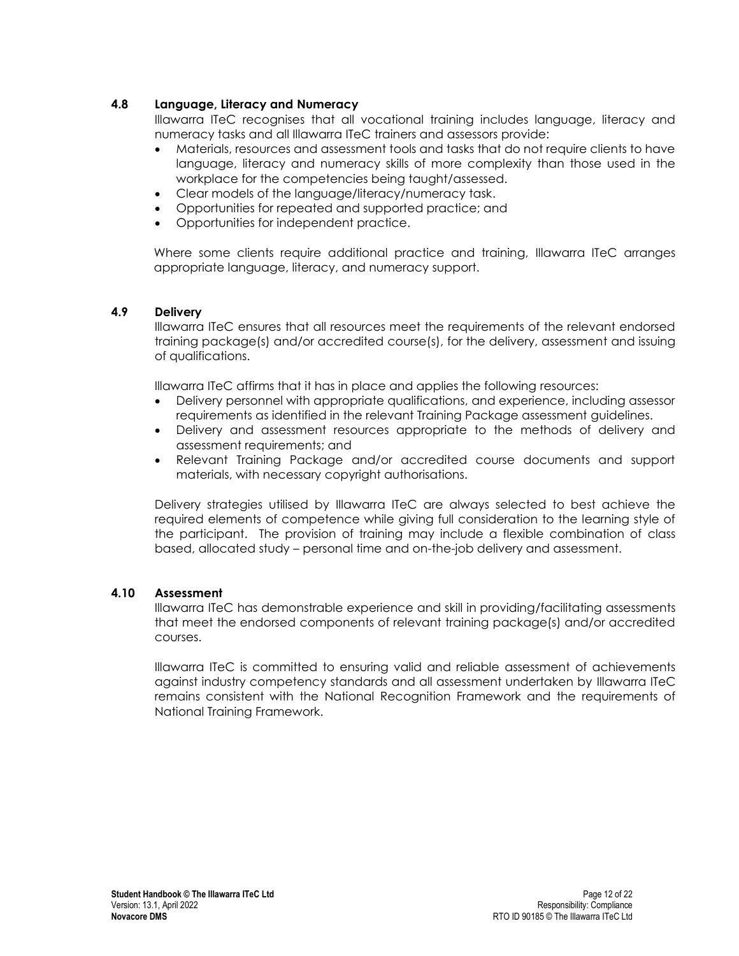# <span id="page-13-0"></span>**4.8 Language, Literacy and Numeracy**

Illawarra ITeC recognises that all vocational training includes language, literacy and numeracy tasks and all Illawarra ITeC trainers and assessors provide:

- Materials, resources and assessment tools and tasks that do not require clients to have language, literacy and numeracy skills of more complexity than those used in the workplace for the competencies being taught/assessed.
- Clear models of the language/literacy/numeracy task.
- Opportunities for repeated and supported practice; and
- Opportunities for independent practice.

Where some clients require additional practice and training, Illawarra ITeC arranges appropriate language, literacy, and numeracy support.

### <span id="page-13-1"></span>**4.9 Delivery**

Illawarra ITeC ensures that all resources meet the requirements of the relevant endorsed training package(s) and/or accredited course(s), for the delivery, assessment and issuing of qualifications.

Illawarra ITeC affirms that it has in place and applies the following resources:

- Delivery personnel with appropriate qualifications, and experience, including assessor requirements as identified in the relevant Training Package assessment guidelines.
- Delivery and assessment resources appropriate to the methods of delivery and assessment requirements; and
- Relevant Training Package and/or accredited course documents and support materials, with necessary copyright authorisations.

Delivery strategies utilised by Illawarra ITeC are always selected to best achieve the required elements of competence while giving full consideration to the learning style of the participant. The provision of training may include a flexible combination of class based, allocated study – personal time and on-the-job delivery and assessment.

### <span id="page-13-2"></span>**4.10 Assessment**

Illawarra ITeC has demonstrable experience and skill in providing/facilitating assessments that meet the endorsed components of relevant training package(s) and/or accredited courses.

Illawarra ITeC is committed to ensuring valid and reliable assessment of achievements against industry competency standards and all assessment undertaken by Illawarra ITeC remains consistent with the National Recognition Framework and the requirements of National Training Framework.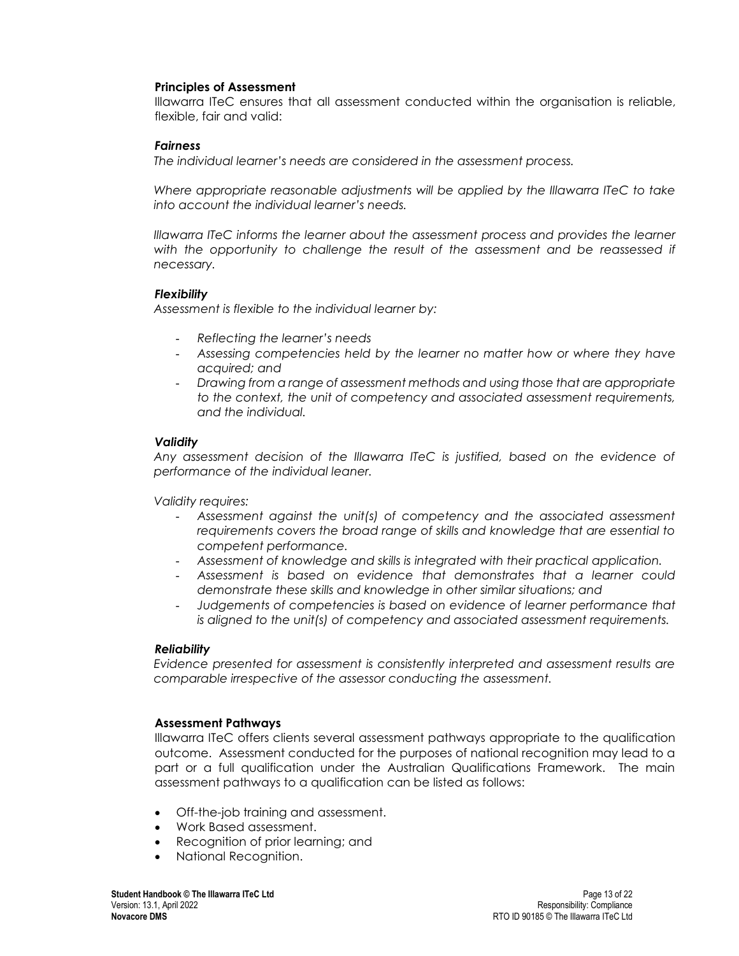#### **Principles of Assessment**

Illawarra ITeC ensures that all assessment conducted within the organisation is reliable, flexible, fair and valid:

#### *Fairness*

*The individual learner's needs are considered in the assessment process.*

*Where appropriate reasonable adjustments will be applied by the Illawarra ITeC to take into account the individual learner's needs.*

*Illawarra ITeC informs the learner about the assessment process and provides the learner*  with the opportunity to challenge the result of the assessment and be reassessed if *necessary.*

### *Flexibility*

*Assessment is flexible to the individual learner by:*

- *Reflecting the learner's needs*
- *Assessing competencies held by the learner no matter how or where they have acquired; and*
- *Drawing from a range of assessment methods and using those that are appropriate to the context, the unit of competency and associated assessment requirements, and the individual.*

### *Validity*

*Any assessment decision of the Illawarra ITeC is justified, based on the evidence of performance of the individual leaner.*

*Validity requires:*

- *Assessment against the unit(s) of competency and the associated assessment requirements covers the broad range of skills and knowledge that are essential to competent performance.*
- *Assessment of knowledge and skills is integrated with their practical application.*
- *Assessment is based on evidence that demonstrates that a learner could demonstrate these skills and knowledge in other similar situations; and*
- *Judgements of competencies is based on evidence of learner performance that is aligned to the unit(s) of competency and associated assessment requirements.*

#### *Reliability*

*Evidence presented for assessment is consistently interpreted and assessment results are comparable irrespective of the assessor conducting the assessment.*

#### **Assessment Pathways**

Illawarra ITeC offers clients several assessment pathways appropriate to the qualification outcome. Assessment conducted for the purposes of national recognition may lead to a part or a full qualification under the Australian Qualifications Framework. The main assessment pathways to a qualification can be listed as follows:

- Off-the-job training and assessment.
- Work Based assessment.
- Recognition of prior learning; and
- National Recognition.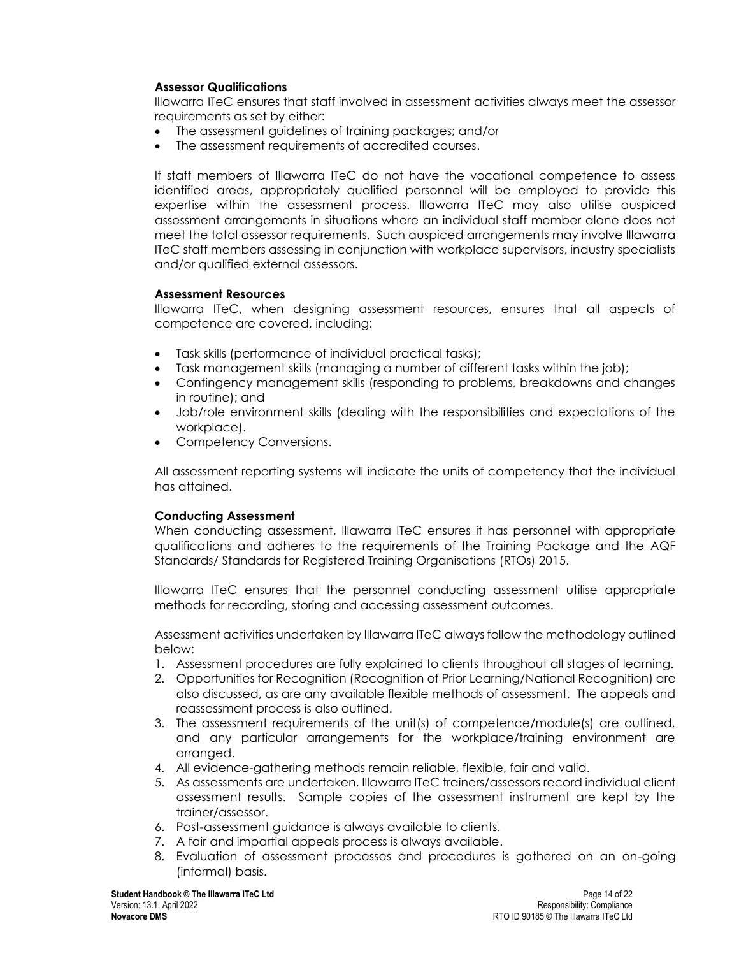## **Assessor Qualifications**

Illawarra ITeC ensures that staff involved in assessment activities always meet the assessor requirements as set by either:

- The assessment guidelines of training packages; and/or
- The assessment requirements of accredited courses.

If staff members of Illawarra ITeC do not have the vocational competence to assess identified areas, appropriately qualified personnel will be employed to provide this expertise within the assessment process. Illawarra ITeC may also utilise auspiced assessment arrangements in situations where an individual staff member alone does not meet the total assessor requirements. Such auspiced arrangements may involve Illawarra ITeC staff members assessing in conjunction with workplace supervisors, industry specialists and/or qualified external assessors.

## **Assessment Resources**

Illawarra ITeC, when designing assessment resources, ensures that all aspects of competence are covered, including:

- Task skills (performance of individual practical tasks);
- Task management skills (managing a number of different tasks within the job);
- Contingency management skills (responding to problems, breakdowns and changes in routine); and
- Job/role environment skills (dealing with the responsibilities and expectations of the workplace).
- Competency Conversions.

All assessment reporting systems will indicate the units of competency that the individual has attained.

# **Conducting Assessment**

When conducting assessment, Illawarra ITeC ensures it has personnel with appropriate qualifications and adheres to the requirements of the Training Package and the AQF Standards/ Standards for Registered Training Organisations (RTOs) 2015.

Illawarra ITeC ensures that the personnel conducting assessment utilise appropriate methods for recording, storing and accessing assessment outcomes.

Assessment activities undertaken by Illawarra ITeC always follow the methodology outlined below:

- 1. Assessment procedures are fully explained to clients throughout all stages of learning.
- 2. Opportunities for Recognition (Recognition of Prior Learning/National Recognition) are also discussed, as are any available flexible methods of assessment. The appeals and reassessment process is also outlined.
- 3. The assessment requirements of the unit(s) of competence/module(s) are outlined, and any particular arrangements for the workplace/training environment are arranged.
- 4. All evidence-gathering methods remain reliable, flexible, fair and valid.
- 5. As assessments are undertaken, Illawarra ITeC trainers/assessors record individual client assessment results. Sample copies of the assessment instrument are kept by the trainer/assessor.
- 6. Post-assessment guidance is always available to clients.
- 7. A fair and impartial appeals process is always available.
- 8. Evaluation of assessment processes and procedures is gathered on an on-going (informal) basis.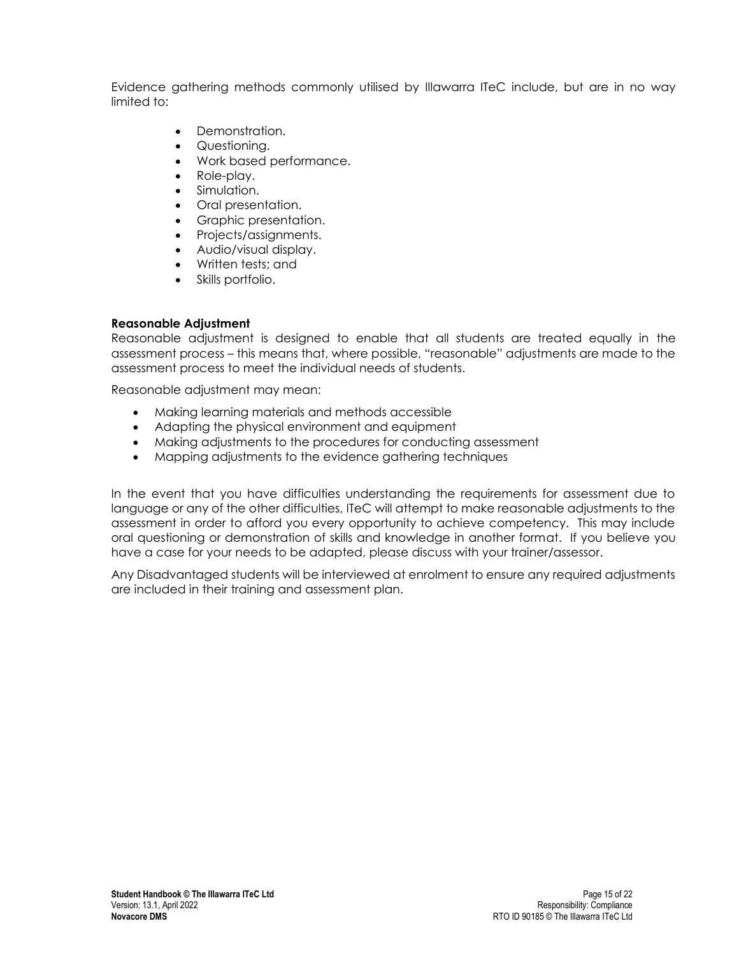Evidence gathering methods commonly utilised by Illawarra ITeC include, but are in no way limited to:

- Demonstration.
- Questioning.
- Work based performance.
- Role-play.
- Simulation.
- Oral presentation.
- Graphic presentation.
- Projects/assignments.
- Audio/visual display.
- Written tests; and
- Skills portfolio.

## **Reasonable Adjustment**

Reasonable adjustment is designed to enable that all students are treated equally in the assessment process – this means that, where possible, "reasonable" adjustments are made to the assessment process to meet the individual needs of students.

Reasonable adjustment may mean:

- Making learning materials and methods accessible
- Adapting the physical environment and equipment
- Making adjustments to the procedures for conducting assessment
- Mapping adjustments to the evidence gathering techniques

In the event that you have difficulties understanding the requirements for assessment due to language or any of the other difficulties, ITeC will attempt to make reasonable adjustments to the assessment in order to afford you every opportunity to achieve competency. This may include oral questioning or demonstration of skills and knowledge in another format. If you believe you have a case for your needs to be adapted, please discuss with your trainer/assessor.

Any Disadvantaged students will be interviewed at enrolment to ensure any required adjustments are included in their training and assessment plan.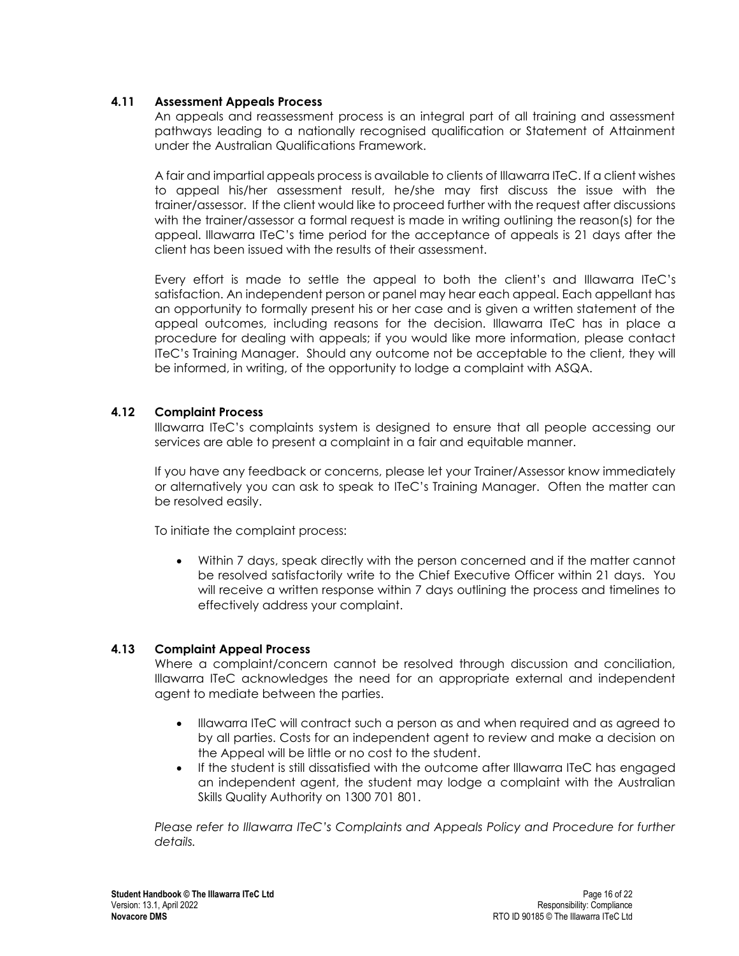## <span id="page-17-0"></span>**4.11 Assessment Appeals Process**

An appeals and reassessment process is an integral part of all training and assessment pathways leading to a nationally recognised qualification or Statement of Attainment under the Australian Qualifications Framework.

A fair and impartial appeals process is available to clients of Illawarra ITeC. If a client wishes to appeal his/her assessment result, he/she may first discuss the issue with the trainer/assessor. If the client would like to proceed further with the request after discussions with the trainer/assessor a formal request is made in writing outlining the reason(s) for the appeal. Illawarra ITeC's time period for the acceptance of appeals is 21 days after the client has been issued with the results of their assessment.

Every effort is made to settle the appeal to both the client's and Illawarra ITeC's satisfaction. An independent person or panel may hear each appeal. Each appellant has an opportunity to formally present his or her case and is given a written statement of the appeal outcomes, including reasons for the decision. Illawarra ITeC has in place a procedure for dealing with appeals; if you would like more information, please contact ITeC's Training Manager. Should any outcome not be acceptable to the client, they will be informed, in writing, of the opportunity to lodge a complaint with ASQA.

## <span id="page-17-1"></span>**4.12 Complaint Process**

Illawarra ITeC's complaints system is designed to ensure that all people accessing our services are able to present a complaint in a fair and equitable manner.

If you have any feedback or concerns, please let your Trainer/Assessor know immediately or alternatively you can ask to speak to ITeC's Training Manager. Often the matter can be resolved easily.

To initiate the complaint process:

• Within 7 days, speak directly with the person concerned and if the matter cannot be resolved satisfactorily write to the Chief Executive Officer within 21 days. You will receive a written response within 7 days outlining the process and timelines to effectively address your complaint.

# <span id="page-17-2"></span>**4.13 Complaint Appeal Process**

Where a complaint/concern cannot be resolved through discussion and conciliation, Illawarra ITeC acknowledges the need for an appropriate external and independent agent to mediate between the parties.

- Illawarra ITeC will contract such a person as and when required and as agreed to by all parties. Costs for an independent agent to review and make a decision on the Appeal will be little or no cost to the student.
- If the student is still dissatisfied with the outcome after Illawarra ITeC has engaged an independent agent, the student may lodge a complaint with the Australian Skills Quality Authority on 1300 701 801.

*Please refer to Illawarra ITeC's Complaints and Appeals Policy and Procedure for further details.*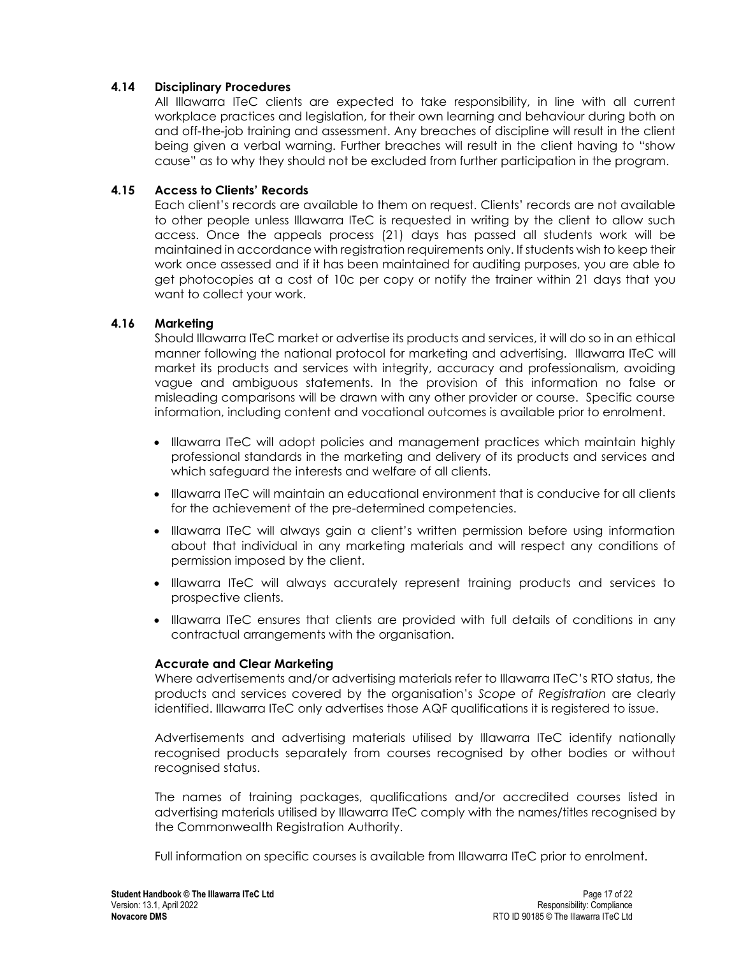## <span id="page-18-0"></span>**4.14 Disciplinary Procedures**

All Illawarra ITeC clients are expected to take responsibility, in line with all current workplace practices and legislation, for their own learning and behaviour during both on and off-the-job training and assessment. Any breaches of discipline will result in the client being given a verbal warning. Further breaches will result in the client having to "show cause" as to why they should not be excluded from further participation in the program.

## <span id="page-18-1"></span>**4.15 Access to Clients' Records**

Each client's records are available to them on request. Clients' records are not available to other people unless Illawarra ITeC is requested in writing by the client to allow such access. Once the appeals process (21) days has passed all students work will be maintained in accordance with registration requirements only. If students wish to keep their work once assessed and if it has been maintained for auditing purposes, you are able to get photocopies at a cost of 10c per copy or notify the trainer within 21 days that you want to collect your work.

## <span id="page-18-2"></span>**4.16 Marketing**

Should Illawarra ITeC market or advertise its products and services, it will do so in an ethical manner following the national protocol for marketing and advertising. Illawarra ITeC will market its products and services with integrity, accuracy and professionalism, avoiding vague and ambiguous statements. In the provision of this information no false or misleading comparisons will be drawn with any other provider or course. Specific course information, including content and vocational outcomes is available prior to enrolment.

- Illawarra ITeC will adopt policies and management practices which maintain highly professional standards in the marketing and delivery of its products and services and which safeguard the interests and welfare of all clients.
- Illawarra ITeC will maintain an educational environment that is conducive for all clients for the achievement of the pre-determined competencies.
- Illawarra ITeC will always gain a client's written permission before using information about that individual in any marketing materials and will respect any conditions of permission imposed by the client.
- Illawarra ITeC will always accurately represent training products and services to prospective clients.
- Illawarra ITeC ensures that clients are provided with full details of conditions in any contractual arrangements with the organisation.

### **Accurate and Clear Marketing**

Where advertisements and/or advertising materials refer to Illawarra ITeC's RTO status, the products and services covered by the organisation's *Scope of Registration* are clearly identified. Illawarra ITeC only advertises those AQF qualifications it is registered to issue.

Advertisements and advertising materials utilised by Illawarra ITeC identify nationally recognised products separately from courses recognised by other bodies or without recognised status.

The names of training packages, qualifications and/or accredited courses listed in advertising materials utilised by Illawarra ITeC comply with the names/titles recognised by the Commonwealth Registration Authority.

Full information on specific courses is available from Illawarra ITeC prior to enrolment.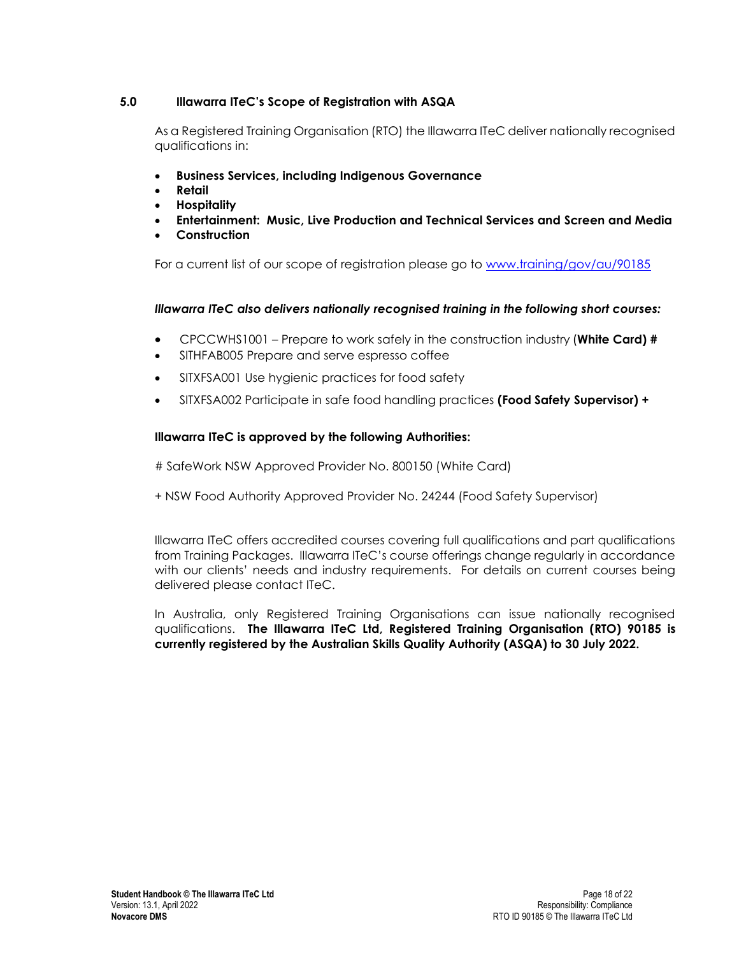## <span id="page-19-0"></span>**5.0 Illawarra ITeC's Scope of Registration with ASQA**

As a Registered Training Organisation (RTO) the Illawarra ITeC deliver nationally recognised qualifications in:

- **Business Services, including Indigenous Governance**
- **Retail**
- **Hospitality**
- **Entertainment: Music, Live Production and Technical Services and Screen and Media**
- **Construction**

For a current list of our scope of registration please go to [www.training/gov/au/90185](http://www.training/gov/au/90185)

## *Illawarra ITeC also delivers nationally recognised training in the following short courses:*

- CPCCWHS1001 Prepare to work safely in the construction industry (**White Card) #**
- SITHFAB005 Prepare and serve espresso coffee
- SITXFSA001 Use hygienic practices for food safety
- SITXFSA002 Participate in safe food handling practices **(Food Safety Supervisor) +**

## **Illawarra ITeC is approved by the following Authorities:**

# SafeWork NSW Approved Provider No. 800150 (White Card)

+ NSW Food Authority Approved Provider No. 24244 (Food Safety Supervisor)

Illawarra ITeC offers accredited courses covering full qualifications and part qualifications from Training Packages. Illawarra ITeC's course offerings change regularly in accordance with our clients' needs and industry requirements. For details on current courses being delivered please contact ITeC.

In Australia, only Registered Training Organisations can issue nationally recognised qualifications. **The Illawarra ITeC Ltd, Registered Training Organisation (RTO) 90185 is currently registered by the Australian Skills Quality Authority (ASQA) to 30 July 2022.**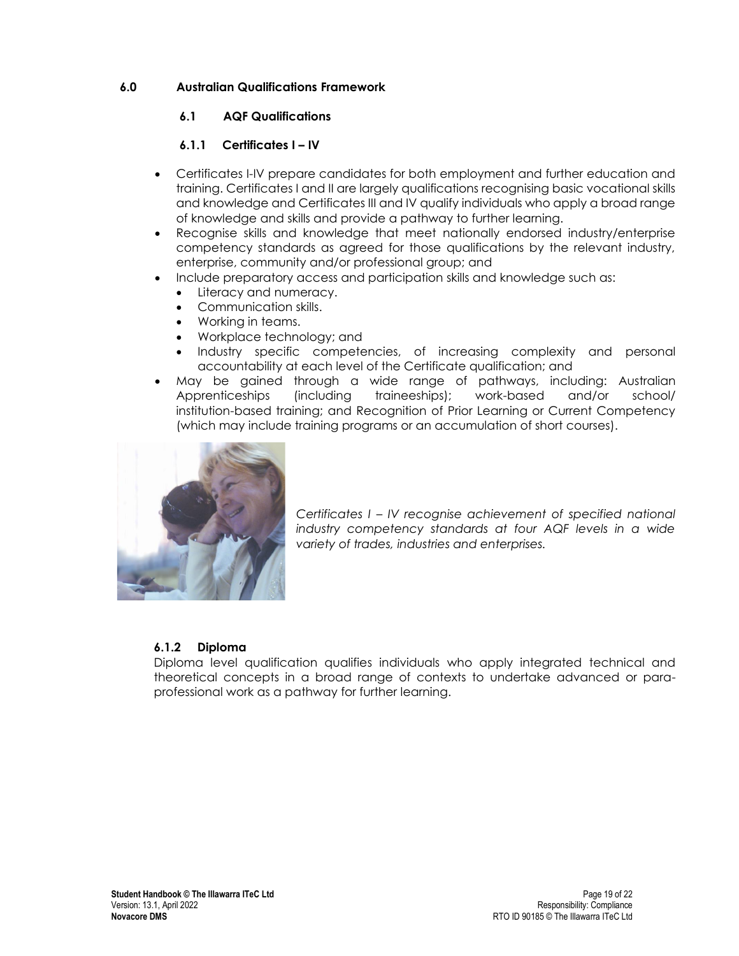# <span id="page-20-0"></span>**6.0 Australian Qualifications Framework**

# <span id="page-20-1"></span>**6.1 AQF Qualifications**

# **6.1.1 Certificates I – IV**

- <span id="page-20-2"></span>• Certificates I-IV prepare candidates for both employment and further education and training. Certificates I and II are largely qualifications recognising basic vocational skills and knowledge and Certificates III and IV qualify individuals who apply a broad range of knowledge and skills and provide a pathway to further learning.
- Recognise skills and knowledge that meet nationally endorsed industry/enterprise competency standards as agreed for those qualifications by the relevant industry, enterprise, community and/or professional group; and
	- Include preparatory access and participation skills and knowledge such as:
		- Literacy and numeracy.
		- Communication skills.
		- Working in teams.
		- Workplace technology; and
		- Industry specific competencies, of increasing complexity and personal accountability at each level of the Certificate qualification; and
- May be gained through a wide range of pathways, including: [Australian](http://www.newapprenticeships.gov.au/)  [Apprenticeships](http://www.newapprenticeships.gov.au/) (including traineeships); work-based and/or school/ institution-based training; and Recognition of Prior Learning or Current Competency (which may include training programs or an accumulation of short courses).



*Certificates I – IV recognise achievement of specified national industry competency standards at four AQF levels in a wide variety of trades, industries and enterprises.*

# <span id="page-20-3"></span>**6.1.2 Diploma**

Diploma level qualification qualifies individuals who apply integrated technical and theoretical concepts in a broad range of contexts to undertake advanced or paraprofessional work as a pathway for further learning.